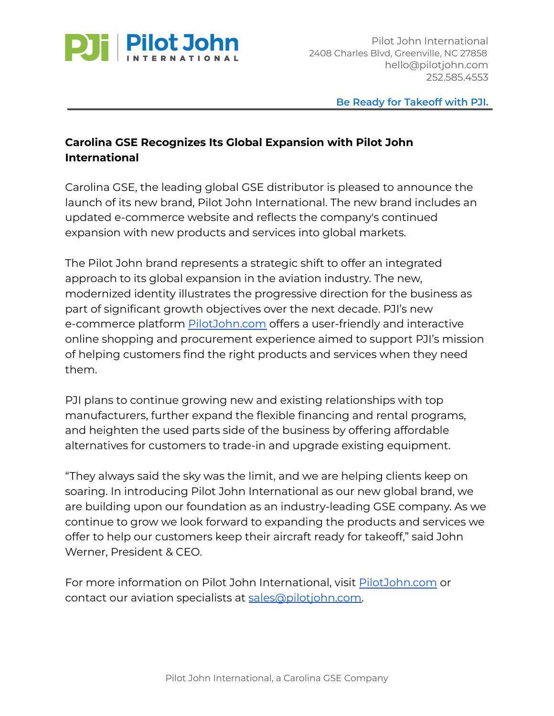

**Be Ready for Takeoff with PJI.**

## **Carolina GSE Recognizes Its Global Expansion with Pilot John International**

Carolina GSE, the leading global GSE distributor is pleased to announce the launch of its new brand, Pilot John International. The new brand includes an updated e-commerce website and reflects the company's continued expansion with new products and services into global markets.

The Pilot John brand represents a strategic shift to offer an integrated approach to its global expansion in the aviation industry. The new, modernized identity illustrates the progressive direction for the business as part of significant growth objectives over the next decade. PJI's new e-commerce platform [PilotJohn.com](https://pilotjohn.com) offers a user-friendly and interactive online shopping and procurement experience aimed to support PJI's mission of helping customers find the right products and services when they need them.

PJI plans to continue growing new and existing relationships with top manufacturers, further expand the flexible financing and rental programs, and heighten the used parts side of the business by offering affordable alternatives for customers to trade-in and upgrade existing equipment.

"They always said the sky was the limit, and we are helping clients keep on soaring. In introducing Pilot John International as our new global brand, we are building upon our foundation as an industry-leading GSE company. As we continue to grow we look forward to expanding the products and services we offer to help our customers keep their aircraft ready for takeoff," said John Werner, President & CEO.

For more information on Pilot John International, visit [PilotJohn.com](https://pilotjohn.com/) or contact our aviation specialists at [sales@pilotjohn.com.](mailto:sales@pilotjohn.com)